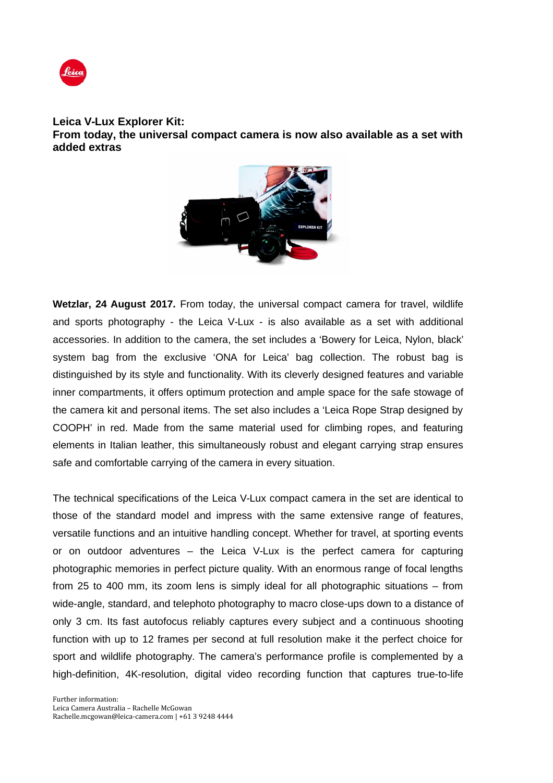

## **Leica V-Lux Explorer Kit: From today, the universal compact camera is now also available as a set with added extras**



**Wetzlar, 24 August 2017.** From today, the universal compact camera for travel, wildlife and sports photography - the Leica V-Lux - is also available as a set with additional accessories. In addition to the camera, the set includes a 'Bowery for Leica, Nylon, black' system bag from the exclusive 'ONA for Leica' bag collection. The robust bag is distinguished by its style and functionality. With its cleverly designed features and variable inner compartments, it offers optimum protection and ample space for the safe stowage of the camera kit and personal items. The set also includes a 'Leica Rope Strap designed by COOPH' in red. Made from the same material used for climbing ropes, and featuring elements in Italian leather, this simultaneously robust and elegant carrying strap ensures safe and comfortable carrying of the camera in every situation.

The technical specifications of the Leica V-Lux compact camera in the set are identical to those of the standard model and impress with the same extensive range of features, versatile functions and an intuitive handling concept. Whether for travel, at sporting events or on outdoor adventures – the Leica V-Lux is the perfect camera for capturing photographic memories in perfect picture quality. With an enormous range of focal lengths from 25 to 400 mm, its zoom lens is simply ideal for all photographic situations – from wide-angle, standard, and telephoto photography to macro close-ups down to a distance of only 3 cm. Its fast autofocus reliably captures every subject and a continuous shooting function with up to 12 frames per second at full resolution make it the perfect choice for sport and wildlife photography. The camera's performance profile is complemented by a high-definition, 4K-resolution, digital video recording function that captures true-to-life